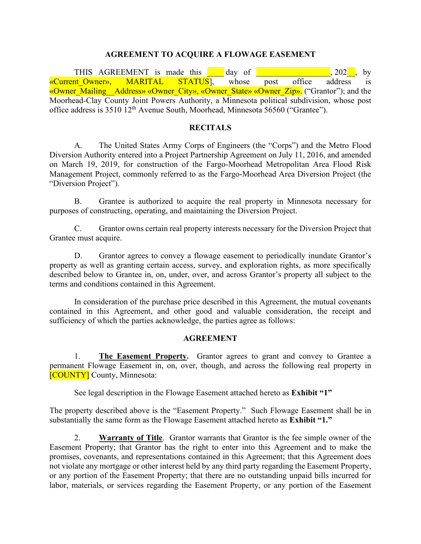#### **AGREEMENT TO ACQUIRE A FLOWAGE EASEMENT**

THIS AGREEMENT is made this day of the same of the same of the same of the same of  $\sim 202$ , by «Current Owner», MARITAL STATUS], whose post office address is «Owner Mailing Address» «Owner City», «Owner State» «Owner Zip». ("Grantor"); and the Moorhead-Clay County Joint Powers Authority, a Minnesota political subdivision, whose post office address is 3510 12th Avenue South, Moorhead, Minnesota 56560 ("Grantee").

#### **RECITALS**

A. The United States Army Corps of Engineers (the "Corps") and the Metro Flood Diversion Authority entered into a Project Partnership Agreement on July 11, 2016, and amended on March 19, 2019, for construction of the Fargo-Moorhead Metropolitan Area Flood Risk Management Project, commonly referred to as the Fargo-Moorhead Area Diversion Project (the "Diversion Project").

B. Grantee is authorized to acquire the real property in Minnesota necessary for purposes of constructing, operating, and maintaining the Diversion Project.

C. Grantor owns certain real property interests necessary for the Diversion Project that Grantee must acquire.

D. Grantor agrees to convey a flowage easement to periodically inundate Grantor's property as well as granting certain access, survey, and exploration rights, as more specifically described below to Grantee in, on, under, over, and across Grantor's property all subject to the terms and conditions contained in this Agreement.

In consideration of the purchase price described in this Agreement, the mutual covenants contained in this Agreement, and other good and valuable consideration, the receipt and sufficiency of which the parties acknowledge, the parties agree as follows:

#### **AGREEMENT**

1. **The Easement Property.** Grantor agrees to grant and convey to Grantee a permanent Flowage Easement in, on, over, though, and across the following real property in [COUNTY] County, Minnesota:

See legal description in the Flowage Easement attached hereto as **Exhibit "1"**

The property described above is the "Easement Property." Such Flowage Easement shall be in substantially the same form as the Flowage Easement attached hereto as **Exhibit "1."**

2. **Warranty of Title**. Grantor warrants that Grantor is the fee simple owner of the Easement Property; that Grantor has the right to enter into this Agreement and to make the promises, covenants, and representations contained in this Agreement; that this Agreement does not violate any mortgage or other interest held by any third party regarding the Easement Property, or any portion of the Easement Property; that there are no outstanding unpaid bills incurred for labor, materials, or services regarding the Easement Property, or any portion of the Easement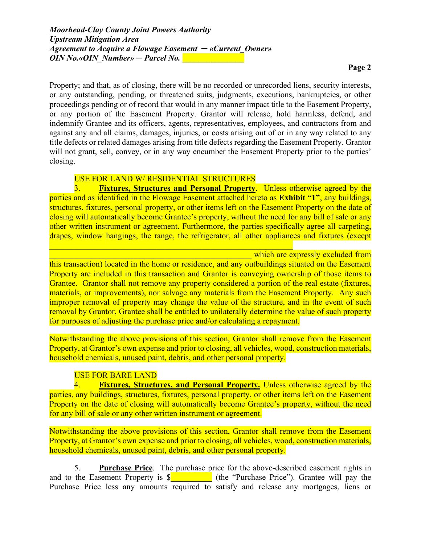Property; and that, as of closing, there will be no recorded or unrecorded liens, security interests, or any outstanding, pending, or threatened suits, judgments, executions, bankruptcies, or other proceedings pending or of record that would in any manner impact title to the Easement Property, or any portion of the Easement Property. Grantor will release, hold harmless, defend, and indemnify Grantee and its officers, agents, representatives, employees, and contractors from and against any and all claims, damages, injuries, or costs arising out of or in any way related to any title defects or related damages arising from title defects regarding the Easement Property. Grantor will not grant, sell, convey, or in any way encumber the Easement Property prior to the parties' closing.

## USE FOR LAND W/ RESIDENTIAL STRUCTURES

3. **Fixtures, Structures and Personal Property**. Unless otherwise agreed by the parties and as identified in the Flowage Easement attached hereto as **Exhibit "1"**, any buildings, structures, fixtures, personal property, or other items left on the Easement Property on the date of closing will automatically become Grantee's property, without the need for any bill of sale or any other written instrument or agreement. Furthermore, the parties specifically agree all carpeting, drapes, window hangings, the range, the refrigerator, all other appliances and fixtures (except

which are expressly excluded from this transaction) located in the home or residence, and any outbuildings situated on the Easement Property are included in this transaction and Grantor is conveying ownership of those items to Grantee. Grantor shall not remove any property considered a portion of the real estate (fixtures, materials, or improvements), nor salvage any materials from the Easement Property. Any such improper removal of property may change the value of the structure, and in the event of such removal by Grantor, Grantee shall be entitled to unilaterally determine the value of such property for purposes of adjusting the purchase price and/or calculating a repayment.

Notwithstanding the above provisions of this section, Grantor shall remove from the Easement Property, at Grantor's own expense and prior to closing, all vehicles, wood, construction materials, household chemicals, unused paint, debris, and other personal property.

# USE FOR BARE LAND

4. **Fixtures, Structures, and Personal Property.** Unless otherwise agreed by the parties, any buildings, structures, fixtures, personal property, or other items left on the Easement Property on the date of closing will automatically become Grantee's property, without the need for any bill of sale or any other written instrument or agreement.

Notwithstanding the above provisions of this section, Grantor shall remove from the Easement Property, at Grantor's own expense and prior to closing, all vehicles, wood, construction materials, household chemicals, unused paint, debris, and other personal property.

5. **Purchase Price**. The purchase price for the above-described easement rights in and to the Easement Property is  $\frac{1}{2}$  (the "Purchase Price"). Grantee will pay the Purchase Price less any amounts required to satisfy and release any mortgages, liens or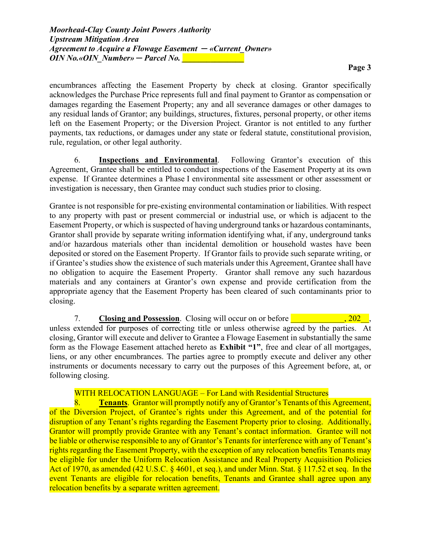encumbrances affecting the Easement Property by check at closing. Grantor specifically acknowledges the Purchase Price represents full and final payment to Grantor as compensation or damages regarding the Easement Property; any and all severance damages or other damages to any residual lands of Grantor; any buildings, structures, fixtures, personal property, or other items left on the Easement Property; or the Diversion Project. Grantor is not entitled to any further payments, tax reductions, or damages under any state or federal statute, constitutional provision, rule, regulation, or other legal authority.

6. **Inspections and Environmental**. Following Grantor's execution of this Agreement, Grantee shall be entitled to conduct inspections of the Easement Property at its own expense. If Grantee determines a Phase I environmental site assessment or other assessment or investigation is necessary, then Grantee may conduct such studies prior to closing.

Grantee is not responsible for pre-existing environmental contamination or liabilities. With respect to any property with past or present commercial or industrial use, or which is adjacent to the Easement Property, or which is suspected of having underground tanks or hazardous contaminants, Grantor shall provide by separate writing information identifying what, if any, underground tanks and/or hazardous materials other than incidental demolition or household wastes have been deposited or stored on the Easement Property. If Grantor fails to provide such separate writing, or if Grantee's studies show the existence of such materials under this Agreement, Grantee shall have no obligation to acquire the Easement Property. Grantor shall remove any such hazardous materials and any containers at Grantor's own expense and provide certification from the appropriate agency that the Easement Property has been cleared of such contaminants prior to closing.

7. **Closing and Possession**. Closing will occur on or before **The Closing and Possession**. unless extended for purposes of correcting title or unless otherwise agreed by the parties. At closing, Grantor will execute and deliver to Grantee a Flowage Easement in substantially the same form as the Flowage Easement attached hereto as **Exhibit "1"**, free and clear of all mortgages, liens, or any other encumbrances. The parties agree to promptly execute and deliver any other instruments or documents necessary to carry out the purposes of this Agreement before, at, or following closing.

## WITH RELOCATION LANGUAGE – For Land with Residential Structures

8. **Tenants**. Grantor will promptly notify any of Grantor's Tenants of this Agreement, of the Diversion Project, of Grantee's rights under this Agreement, and of the potential for disruption of any Tenant's rights regarding the Easement Property prior to closing. Additionally, Grantor will promptly provide Grantee with any Tenant's contact information. Grantee will not be liable or otherwise responsible to any of Grantor's Tenants for interference with any of Tenant's rights regarding the Easement Property, with the exception of any relocation benefits Tenants may be eligible for under the Uniform Relocation Assistance and Real Property Acquisition Policies Act of 1970, as amended (42 U.S.C. § 4601, et seq.), and under Minn. Stat. § 117.52 et seq. In the event Tenants are eligible for relocation benefits, Tenants and Grantee shall agree upon any relocation benefits by a separate written agreement.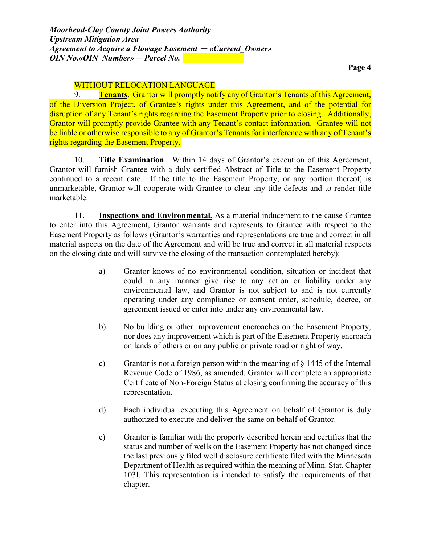# WITHOUT RELOCATION LANGUAGE

9. **Tenants**. Grantor will promptly notify any of Grantor's Tenants of this Agreement, of the Diversion Project, of Grantee's rights under this Agreement, and of the potential for disruption of any Tenant's rights regarding the Easement Property prior to closing. Additionally, Grantor will promptly provide Grantee with any Tenant's contact information. Grantee will not be liable or otherwise responsible to any of Grantor's Tenants for interference with any of Tenant's rights regarding the Easement Property.

10. **Title Examination**. Within 14 days of Grantor's execution of this Agreement, Grantor will furnish Grantee with a duly certified Abstract of Title to the Easement Property continued to a recent date. If the title to the Easement Property, or any portion thereof, is unmarketable, Grantor will cooperate with Grantee to clear any title defects and to render title marketable.

11. **Inspections and Environmental.** As a material inducement to the cause Grantee to enter into this Agreement, Grantor warrants and represents to Grantee with respect to the Easement Property as follows (Grantor's warranties and representations are true and correct in all material aspects on the date of the Agreement and will be true and correct in all material respects on the closing date and will survive the closing of the transaction contemplated hereby):

- a) Grantor knows of no environmental condition, situation or incident that could in any manner give rise to any action or liability under any environmental law, and Grantor is not subject to and is not currently operating under any compliance or consent order, schedule, decree, or agreement issued or enter into under any environmental law.
- b) No building or other improvement encroaches on the Easement Property, nor does any improvement which is part of the Easement Property encroach on lands of others or on any public or private road or right of way.
- c) Grantor is not a foreign person within the meaning of  $\S$  1445 of the Internal Revenue Code of 1986, as amended. Grantor will complete an appropriate Certificate of Non-Foreign Status at closing confirming the accuracy of this representation.
- d) Each individual executing this Agreement on behalf of Grantor is duly authorized to execute and deliver the same on behalf of Grantor.
- e) Grantor is familiar with the property described herein and certifies that the status and number of wells on the Easement Property has not changed since the last previously filed well disclosure certificate filed with the Minnesota Department of Health as required within the meaning of Minn. Stat. Chapter 103I. This representation is intended to satisfy the requirements of that chapter.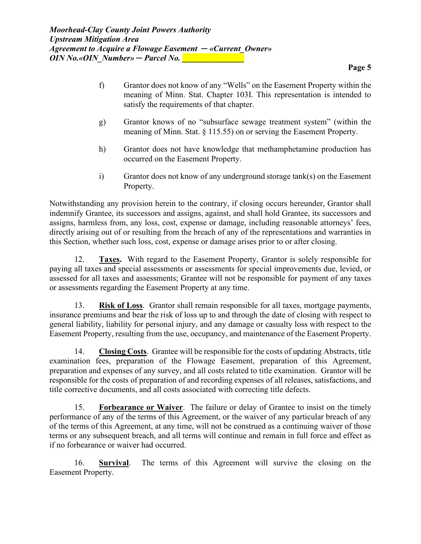- f) Grantor does not know of any "Wells" on the Easement Property within the meaning of Minn. Stat. Chapter 103I. This representation is intended to satisfy the requirements of that chapter.
- g) Grantor knows of no "subsurface sewage treatment system" (within the meaning of Minn. Stat. § 115.55) on or serving the Easement Property.
- h) Grantor does not have knowledge that methamphetamine production has occurred on the Easement Property.
- i) Grantor does not know of any underground storage tank(s) on the Easement Property.

Notwithstanding any provision herein to the contrary, if closing occurs hereunder, Grantor shall indemnify Grantee, its successors and assigns, against, and shall hold Grantee, its successors and assigns, harmless from, any loss, cost, expense or damage, including reasonable attorneys' fees, directly arising out of or resulting from the breach of any of the representations and warranties in this Section, whether such loss, cost, expense or damage arises prior to or after closing.

12. **Taxes.** With regard to the Easement Property, Grantor is solely responsible for paying all taxes and special assessments or assessments for special improvements due, levied, or assessed for all taxes and assessments; Grantee will not be responsible for payment of any taxes or assessments regarding the Easement Property at any time.

13. **Risk of Loss**. Grantor shall remain responsible for all taxes, mortgage payments, insurance premiums and bear the risk of loss up to and through the date of closing with respect to general liability, liability for personal injury, and any damage or casualty loss with respect to the Easement Property, resulting from the use, occupancy, and maintenance of the Easement Property.

14. **Closing Costs**. Grantee will be responsible for the costs of updating Abstracts, title examination fees, preparation of the Flowage Easement, preparation of this Agreement, preparation and expenses of any survey, and all costs related to title examination. Grantor will be responsible for the costs of preparation of and recording expenses of all releases, satisfactions, and title corrective documents, and all costs associated with correcting title defects.

15. **Forbearance or Waiver**. The failure or delay of Grantee to insist on the timely performance of any of the terms of this Agreement, or the waiver of any particular breach of any of the terms of this Agreement, at any time, will not be construed as a continuing waiver of those terms or any subsequent breach, and all terms will continue and remain in full force and effect as if no forbearance or waiver had occurred.

16. **Survival**. The terms of this Agreement will survive the closing on the Easement Property.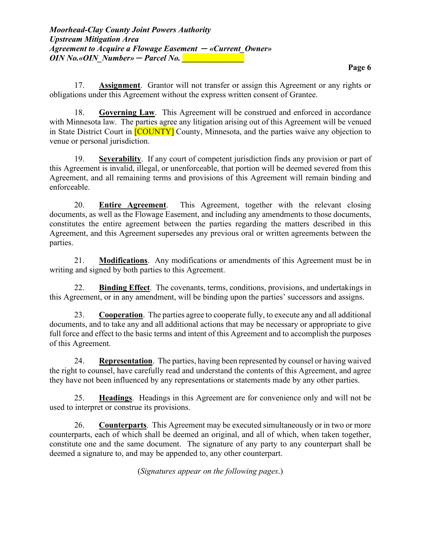17. **Assignment**. Grantor will not transfer or assign this Agreement or any rights or obligations under this Agreement without the express written consent of Grantee.

18. **Governing Law**. This Agreement will be construed and enforced in accordance with Minnesota law. The parties agree any litigation arising out of this Agreement will be venued in State District Court in **[COUNTY]** County, Minnesota, and the parties waive any objection to venue or personal jurisdiction.

19. **Severability**. If any court of competent jurisdiction finds any provision or part of this Agreement is invalid, illegal, or unenforceable, that portion will be deemed severed from this Agreement, and all remaining terms and provisions of this Agreement will remain binding and enforceable.

20. **Entire Agreement**. This Agreement, together with the relevant closing documents, as well as the Flowage Easement, and including any amendments to those documents, constitutes the entire agreement between the parties regarding the matters described in this Agreement, and this Agreement supersedes any previous oral or written agreements between the parties.

21. **Modifications**. Any modifications or amendments of this Agreement must be in writing and signed by both parties to this Agreement.

22. **Binding Effect**. The covenants, terms, conditions, provisions, and undertakings in this Agreement, or in any amendment, will be binding upon the parties' successors and assigns.

23. **Cooperation**. The parties agree to cooperate fully, to execute any and all additional documents, and to take any and all additional actions that may be necessary or appropriate to give full force and effect to the basic terms and intent of this Agreement and to accomplish the purposes of this Agreement.

24. **Representation**. The parties, having been represented by counsel or having waived the right to counsel, have carefully read and understand the contents of this Agreement, and agree they have not been influenced by any representations or statements made by any other parties.

25. **Headings**. Headings in this Agreement are for convenience only and will not be used to interpret or construe its provisions.

26. **Counterparts**. This Agreement may be executed simultaneously or in two or more counterparts, each of which shall be deemed an original, and all of which, when taken together, constitute one and the same document. The signature of any party to any counterpart shall be deemed a signature to, and may be appended to, any other counterpart.

(*Signatures appear on the following pages*.)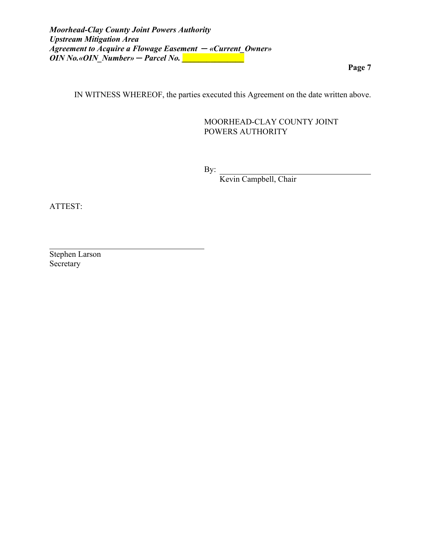IN WITNESS WHEREOF, the parties executed this Agreement on the date written above.

## MOORHEAD-CLAY COUNTY JOINT POWERS AUTHORITY

By:

Kevin Campbell, Chair

ATTEST:

Stephen Larson Secretary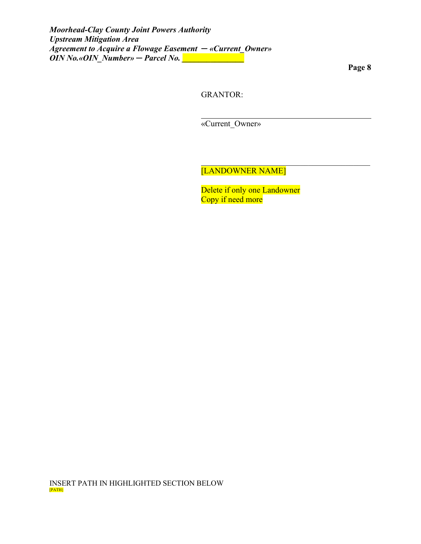GRANTOR:

«Current\_Owner»

[LANDOWNER NAME]

Delete if only one Landowner Copy if need more